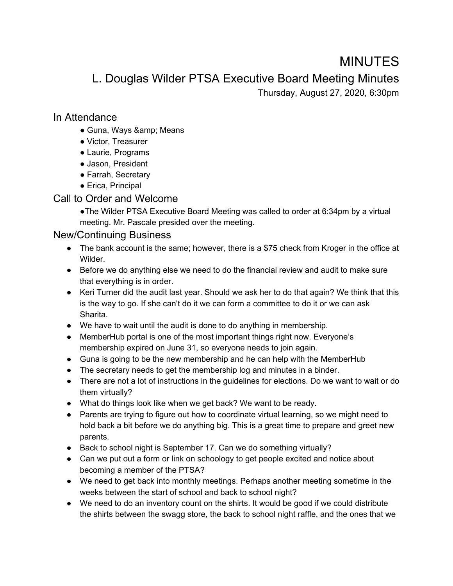# MINUTES

L. Douglas Wilder PTSA Executive Board Meeting Minutes

Thursday, August 27, 2020, 6:30pm

#### In Attendance

- Guna, Ways & amp; Means
- Victor, Treasurer
- Laurie, Programs
- Jason, President
- Farrah, Secretary
- Erica, Principal

### Call to Order and Welcome

●The Wilder PTSA Executive Board Meeting was called to order at 6:34pm by a virtual meeting. Mr. Pascale presided over the meeting.

## New/Continuing Business

- The bank account is the same; however, there is a \$75 check from Kroger in the office at Wilder.
- Before we do anything else we need to do the financial review and audit to make sure that everything is in order.
- Keri Turner did the audit last year. Should we ask her to do that again? We think that this is the way to go. If she can't do it we can form a committee to do it or we can ask Sharita.
- We have to wait until the audit is done to do anything in membership.
- Member Hub portal is one of the most important things right now. Everyone's membership expired on June 31, so everyone needs to join again.
- Guna is going to be the new membership and he can help with the MemberHub
- The secretary needs to get the membership log and minutes in a binder.
- There are not a lot of instructions in the guidelines for elections. Do we want to wait or do them virtually?
- What do things look like when we get back? We want to be ready.
- Parents are trying to figure out how to coordinate virtual learning, so we might need to hold back a bit before we do anything big. This is a great time to prepare and greet new parents.
- Back to school night is September 17. Can we do something virtually?
- Can we put out a form or link on schoology to get people excited and notice about becoming a member of the PTSA?
- We need to get back into monthly meetings. Perhaps another meeting sometime in the weeks between the start of school and back to school night?
- We need to do an inventory count on the shirts. It would be good if we could distribute the shirts between the swagg store, the back to school night raffle, and the ones that we